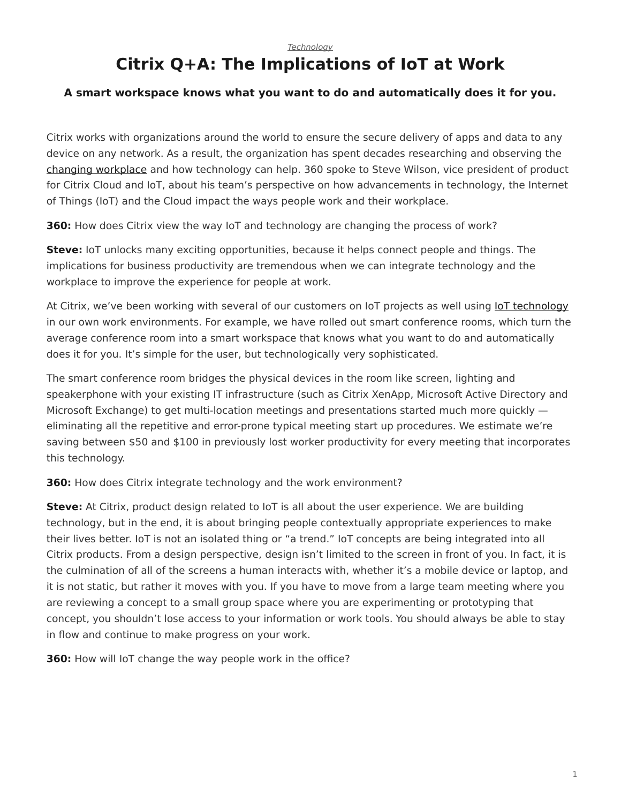#### *[Technology](https://www.steelcase.com/research/topics/technology/)*

# <span id="page-0-0"></span>**Citrix Q+A: The Implications of IoT at Work**

# **A smart workspace knows what you want to do and automatically does it for you.**

Citrix works with organizations around the world to ensure the secure delivery of apps and data to any device on any network. As a result, the organization has spent decades researching and observing the [changing workplace](https://www.steelcase.com/research/articles/topics/workplace/state-work-blur-edges/) and how technology can help. 360 spoke to Steve Wilson, vice president of product for Citrix Cloud and IoT, about his team's perspective on how advancements in technology, the Internet of Things (IoT) and the Cloud impact the ways people work and their workplace.

**360:** How does Citrix view the way IoT and technology are changing the process of work?

**Steve:** IoT unlocks many exciting opportunities, because it helps connect people and things. The implications for business productivity are tremendous when we can integrate technology and the workplace to improve the experience for people at work.

At Citrix, we've been working with several of our customers on IoT projects as well using **[IoT technology](https://www.steelcase.com/research/articles/topics/technology/microsoft-steelcase-partner-boost-creative-work/)** in our own work environments. For example, we have rolled out smart conference rooms, which turn the average conference room into a smart workspace that knows what you want to do and automatically does it for you. It's simple for the user, but technologically very sophisticated.

The smart conference room bridges the physical devices in the room like screen, lighting and speakerphone with your existing IT infrastructure (such as Citrix XenApp, Microsoft Active Directory and Microsoft Exchange) to get multi-location meetings and presentations started much more quickly eliminating all the repetitive and error-prone typical meeting start up procedures. We estimate we're saving between \$50 and \$100 in previously lost worker productivity for every meeting that incorporates this technology.

**360:** How does Citrix integrate technology and the work environment?

**Steve:** At Citrix, product design related to IoT is all about the user experience. We are building technology, but in the end, it is about bringing people contextually appropriate experiences to make their lives better. IoT is not an isolated thing or "a trend." IoT concepts are being integrated into all Citrix products. From a design perspective, design isn't limited to the screen in front of you. In fact, it is the culmination of all of the screens a human interacts with, whether it's a mobile device or laptop, and it is not static, but rather it moves with you. If you have to move from a large team meeting where you are reviewing a concept to a small group space where you are experimenting or prototyping that concept, you shouldn't lose access to your information or work tools. You should always be able to stay in flow and continue to make progress on your work.

**360:** How will IoT change the way people work in the office?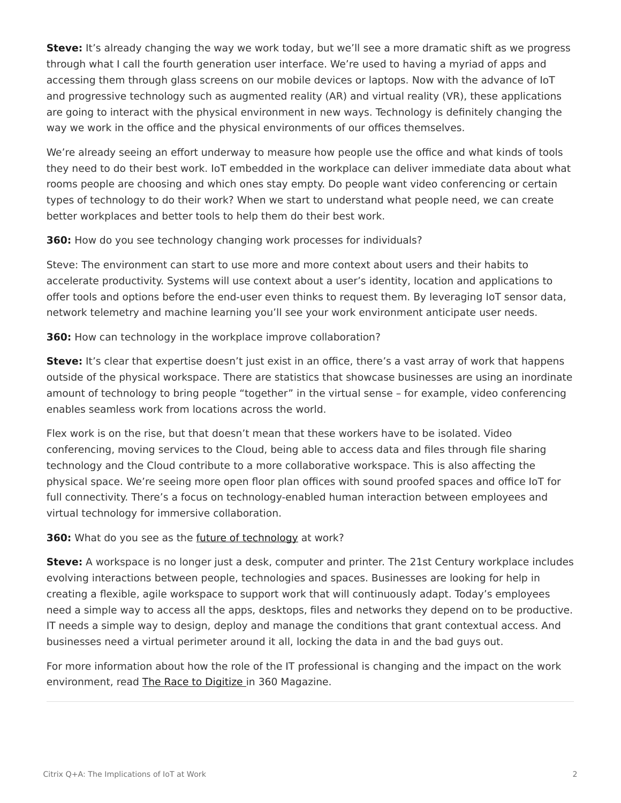**Steve:** It's already changing the way we work today, but we'll see a more dramatic shift as we progress through what I call the fourth generation user interface. We're used to having a myriad of apps and accessing them through glass screens on our mobile devices or laptops. Now with the advance of IoT and progressive technology such as augmented reality (AR) and virtual reality (VR), these applications are going to interact with the physical environment in new ways. Technology is definitely changing the way we work in the office and the physical environments of our offices themselves.

We're already seeing an effort underway to measure how people use the office and what kinds of tools they need to do their best work. IoT embedded in the workplace can deliver immediate data about what rooms people are choosing and which ones stay empty. Do people want video conferencing or certain types of technology to do their work? When we start to understand what people need, we can create better workplaces and better tools to help them do their best work.

**360:** How do you see technology changing work processes for individuals?

Steve: The environment can start to use more and more context about users and their habits to accelerate productivity. Systems will use context about a user's identity, location and applications to offer tools and options before the end-user even thinks to request them. By leveraging IoT sensor data, network telemetry and machine learning you'll see your work environment anticipate user needs.

# **360:** How can technology in the workplace improve collaboration?

**Steve:** It's clear that expertise doesn't just exist in an office, there's a vast array of work that happens outside of the physical workspace. There are statistics that showcase businesses are using an inordinate amount of technology to bring people "together" in the virtual sense – for example, video conferencing enables seamless work from locations across the world.

Flex work is on the rise, but that doesn't mean that these workers have to be isolated. Video conferencing, moving services to the Cloud, being able to access data and files through file sharing technology and the Cloud contribute to a more collaborative workspace. This is also affecting the physical space. We're seeing more open floor plan offices with sound proofed spaces and office IoT for full connectivity. There's a focus on technology-enabled human interaction between employees and virtual technology for immersive collaboration.

# **360:** What do you see as the [future of technology](https://www.steelcase.com/research/podcasts/topics/technology/listen-designing-future-work-technology/) at work?

**Steve:** A workspace is no longer just a desk, computer and printer. The 21st Century workplace includes evolving interactions between people, technologies and spaces. Businesses are looking for help in creating a flexible, agile workspace to support work that will continuously adapt. Today's employees need a simple way to access all the apps, desktops, files and networks they depend on to be productive. IT needs a simple way to design, deploy and manage the conditions that grant contextual access. And businesses need a virtual perimeter around it all, locking the data in and the bad guys out.

For more information about how the role of the IT professional is changing and the impact on the work environment, read [The Race to Digitize](https://www.steelcase.com/research/articles/topics/technology/race-digitize/) in 360 Magazine.